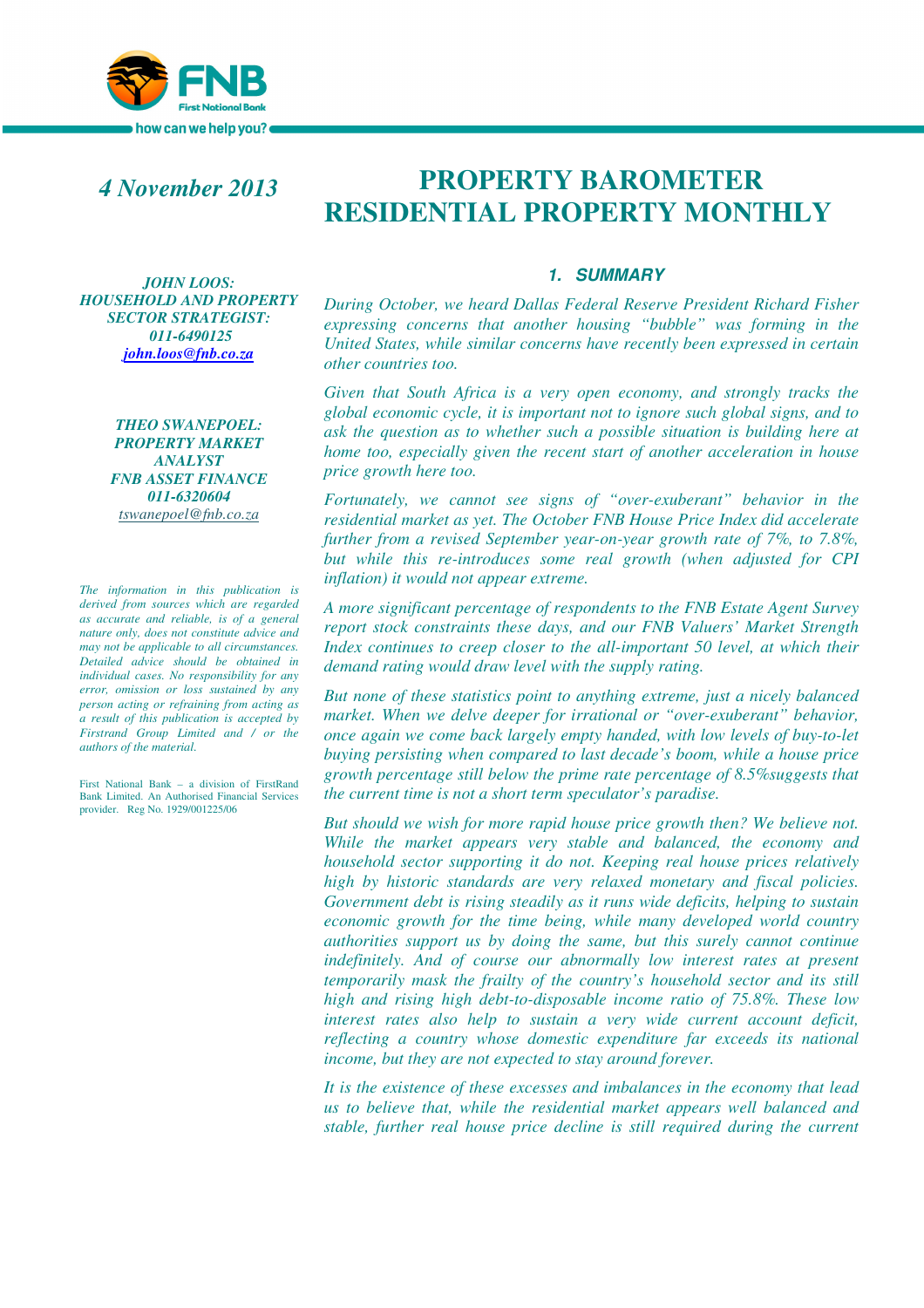

## *4 November 2013*

*JOHN LOOS: HOUSEHOLD AND PROPERTY SECTOR STRATEGIST: 011-6490125 john.loos@fnb.co.za*

> *THEO SWANEPOEL: PROPERTY MARKET ANALYST FNB ASSET FINANCE 011-6320604 tswanepoel@fnb.co.za*

*The information in this publication is derived from sources which are regarded as accurate and reliable, is of a general nature only, does not constitute advice and may not be applicable to all circumstances. Detailed advice should be obtained in individual cases. No responsibility for any error, omission or loss sustained by any person acting or refraining from acting as a result of this publication is accepted by Firstrand Group Limited and / or the authors of the material.*

First National Bank – a division of FirstRand Bank Limited. An Authorised Financial Services provider. Reg No. 1929/001225/06

# **PROPERTY BAROMETER RESIDENTIAL PROPERTY MONTHLY**

#### **1. SUMMARY**

*During October, we heard Dallas Federal Reserve President Richard Fisher expressing concerns that another housing "bubble" was forming in the United States, while similar concerns have recently been expressed in certain other countries too.* 

*Given that South Africa is a very open economy, and strongly tracks the global economic cycle, it is important not to ignore such global signs, and to ask the question as to whether such a possible situation is building here at home too, especially given the recent start of another acceleration in house price growth here too.* 

*Fortunately, we cannot see signs of "over-exuberant" behavior in the residential market as yet. The October FNB House Price Index did accelerate further from a revised September year-on-year growth rate of 7%, to 7.8%, but while this re-introduces some real growth (when adjusted for CPI inflation) it would not appear extreme.* 

*A more significant percentage of respondents to the FNB Estate Agent Survey report stock constraints these days, and our FNB Valuers' Market Strength Index continues to creep closer to the all-important 50 level, at which their demand rating would draw level with the supply rating.* 

*But none of these statistics point to anything extreme, just a nicely balanced market. When we delve deeper for irrational or "over-exuberant" behavior, once again we come back largely empty handed, with low levels of buy-to-let buying persisting when compared to last decade's boom, while a house price growth percentage still below the prime rate percentage of 8.5%suggests that the current time is not a short term speculator's paradise.* 

*But should we wish for more rapid house price growth then? We believe not. While the market appears very stable and balanced, the economy and household sector supporting it do not. Keeping real house prices relatively high by historic standards are very relaxed monetary and fiscal policies. Government debt is rising steadily as it runs wide deficits, helping to sustain economic growth for the time being, while many developed world country authorities support us by doing the same, but this surely cannot continue*  indefinitely. And of course our abnormally low interest rates at present *temporarily mask the frailty of the country's household sector and its still high and rising high debt-to-disposable income ratio of 75.8%. These low interest rates also help to sustain a very wide current account deficit, reflecting a country whose domestic expenditure far exceeds its national income, but they are not expected to stay around forever.* 

*It is the existence of these excesses and imbalances in the economy that lead us to believe that, while the residential market appears well balanced and stable, further real house price decline is still required during the current*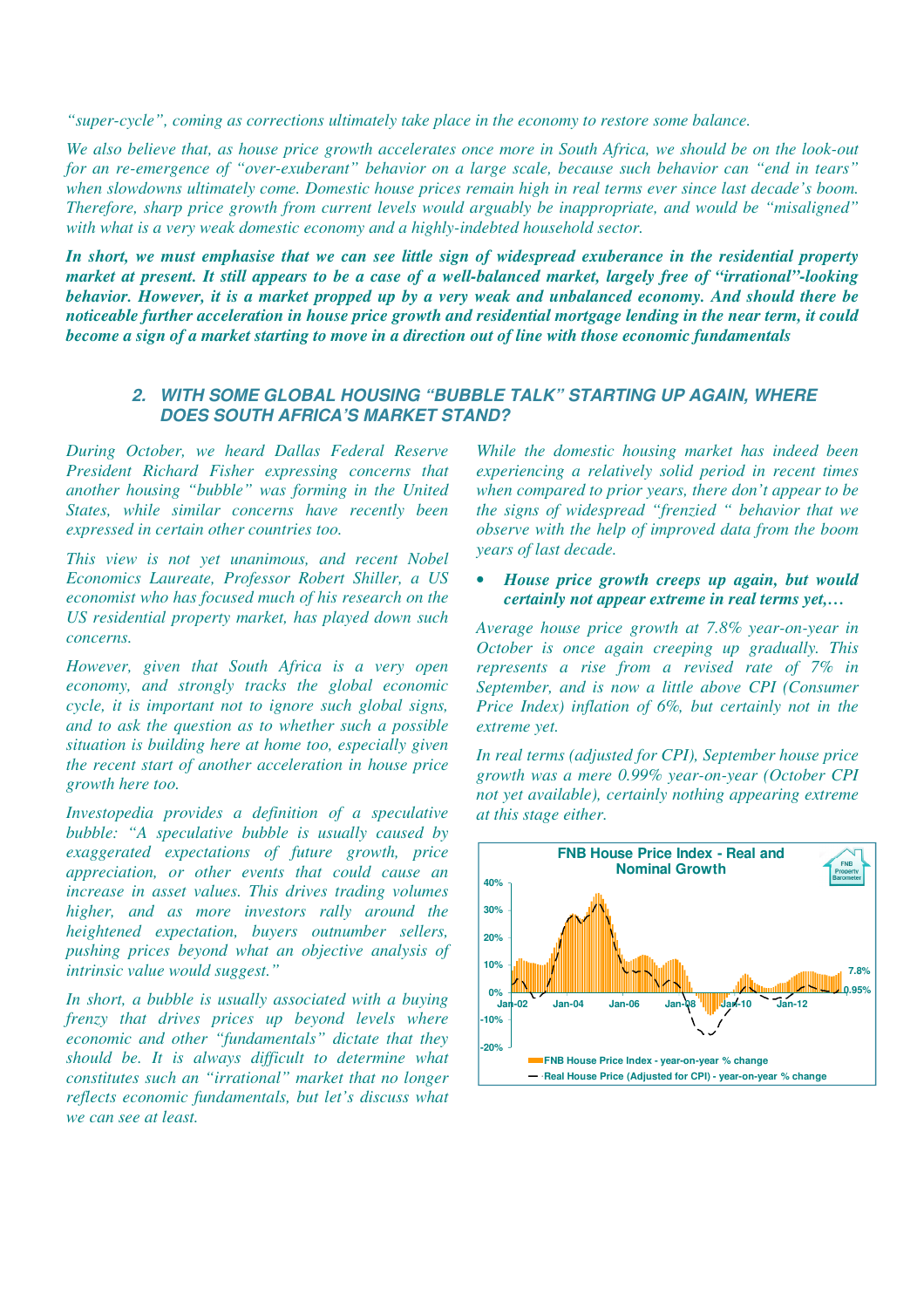*"super-cycle", coming as corrections ultimately take place in the economy to restore some balance.* 

We also believe that, as house price growth accelerates once more in South Africa, we should be on the look-out *for an re-emergence of "over-exuberant" behavior on a large scale, because such behavior can "end in tears" when slowdowns ultimately come. Domestic house prices remain high in real terms ever since last decade's boom. Therefore, sharp price growth from current levels would arguably be inappropriate, and would be "misaligned" with what is a very weak domestic economy and a highly-indebted household sector.* 

*In short, we must emphasise that we can see little sign of widespread exuberance in the residential property market at present. It still appears to be a case of a well-balanced market, largely free of "irrational"-looking behavior. However, it is a market propped up by a very weak and unbalanced economy. And should there be noticeable further acceleration in house price growth and residential mortgage lending in the near term, it could become a sign of a market starting to move in a direction out of line with those economic fundamentals*

## **2. WITH SOME GLOBAL HOUSING "BUBBLE TALK" STARTING UP AGAIN, WHERE DOES SOUTH AFRICA'S MARKET STAND?**

*During October, we heard Dallas Federal Reserve President Richard Fisher expressing concerns that another housing "bubble" was forming in the United States, while similar concerns have recently been expressed in certain other countries too.* 

*This view is not yet unanimous, and recent Nobel Economics Laureate, Professor Robert Shiller, a US economist who has focused much of his research on the US residential property market, has played down such concerns.* 

*However, given that South Africa is a very open economy, and strongly tracks the global economic cycle, it is important not to ignore such global signs, and to ask the question as to whether such a possible situation is building here at home too, especially given the recent start of another acceleration in house price growth here too.* 

*Investopedia provides a definition of a speculative bubble: "A speculative bubble is usually caused by exaggerated expectations of future growth, price appreciation, or other events that could cause an increase in asset values. This drives trading volumes higher, and as more investors rally around the heightened expectation, buyers outnumber sellers, pushing prices beyond what an objective analysis of intrinsic value would suggest."* 

*In short, a bubble is usually associated with a buying frenzy that drives prices up beyond levels where economic and other "fundamentals" dictate that they should be. It is always difficult to determine what constitutes such an "irrational" market that no longer reflects economic fundamentals, but let's discuss what we can see at least.* 

*While the domestic housing market has indeed been experiencing a relatively solid period in recent times when compared to prior years, there don't appear to be the signs of widespread "frenzied " behavior that we observe with the help of improved data from the boom years of last decade.* 

• *House price growth creeps up again, but would certainly not appear extreme in real terms yet,…*

*Average house price growth at 7.8% year-on-year in October is once again creeping up gradually. This represents a rise from a revised rate of 7% in September, and is now a little above CPI (Consumer Price Index) inflation of 6%, but certainly not in the extreme yet.* 

*In real terms (adjusted for CPI), September house price growth was a mere 0.99% year-on-year (October CPI not yet available), certainly nothing appearing extreme at this stage either.* 

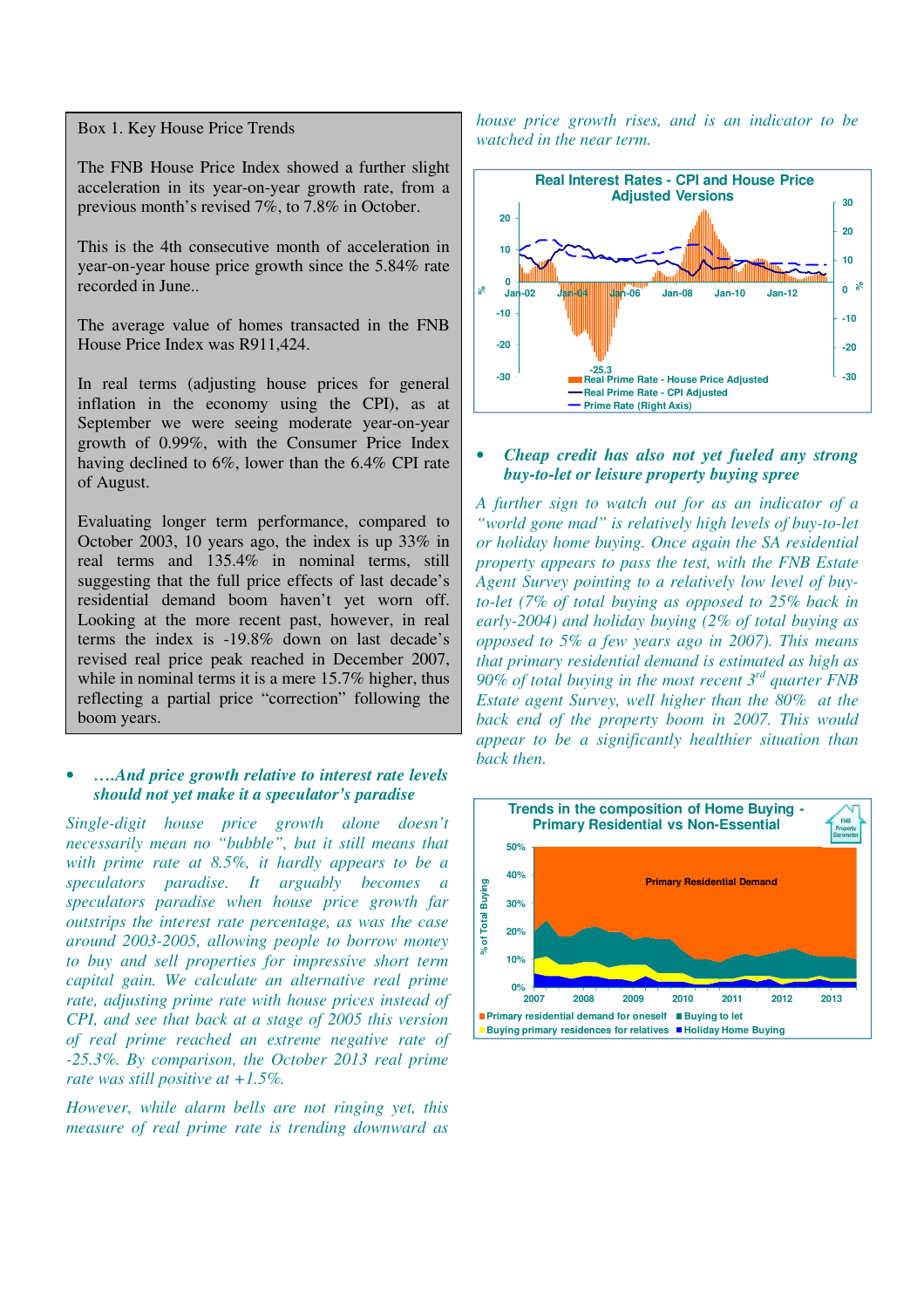Box 1. Key House Price Trends

The FNB House Price Index showed a further slight acceleration in its year-on-year growth rate, from a previous month's revised 7%, to 7.8% in October.

This is the 4th consecutive month of acceleration in year-on-year house price growth since the 5.84% rate recorded in June..

The average value of homes transacted in the FNB House Price Index was R911,424.

In real terms (adjusting house prices for general inflation in the economy using the CPI), as at September we were seeing moderate year-on-year growth of 0.99%, with the Consumer Price Index having declined to 6%, lower than the 6.4% CPI rate of August.

Evaluating longer term performance, compared to October 2003, 10 years ago, the index is up 33% in real terms and 135.4% in nominal terms, still suggesting that the full price effects of last decade's residential demand boom haven't yet worn off. Looking at the more recent past, however, in real terms the index is -19.8% down on last decade's revised real price peak reached in December 2007, while in nominal terms it is a mere 15.7% higher, thus reflecting a partial price "correction" following the boom years.

## • *….And price growth relative to interest rate levels should not yet make it a speculator's paradise*

*Single-digit house price growth alone doesn't necessarily mean no "bubble", but it still means that with prime rate at 8.5%, it hardly appears to be a speculators paradise. It arguably becomes a speculators paradise when house price growth far outstrips the interest rate percentage, as was the case around 2003-2005, allowing people to borrow money to buy and sell properties for impressive short term capital gain. We calculate an alternative real prime rate, adjusting prime rate with house prices instead of CPI, and see that back at a stage of 2005 this version of real prime reached an extreme negative rate of -25.3%. By comparison, the October 2013 real prime rate was still positive at +1.5%.* 

*However, while alarm bells are not ringing yet, this measure of real prime rate is trending downward as*  *house price growth rises, and is an indicator to be watched in the near term.* 



## • *Cheap credit has also not yet fueled any strong buy-to-let or leisure property buying spree*

*A further sign to watch out for as an indicator of a "world gone mad" is relatively high levels of buy-to-let or holiday home buying. Once again the SA residential property appears to pass the test, with the FNB Estate Agent Survey pointing to a relatively low level of buyto-let (7% of total buying as opposed to 25% back in early-2004) and holiday buying (2% of total buying as opposed to 5% a few years ago in 2007). This means that primary residential demand is estimated as high as 90% of total buying in the most recent 3rd quarter FNB Estate agent Survey, well higher than the 80% at the back end of the property boom in 2007. This would appear to be a significantly healthier situation than back then.* 

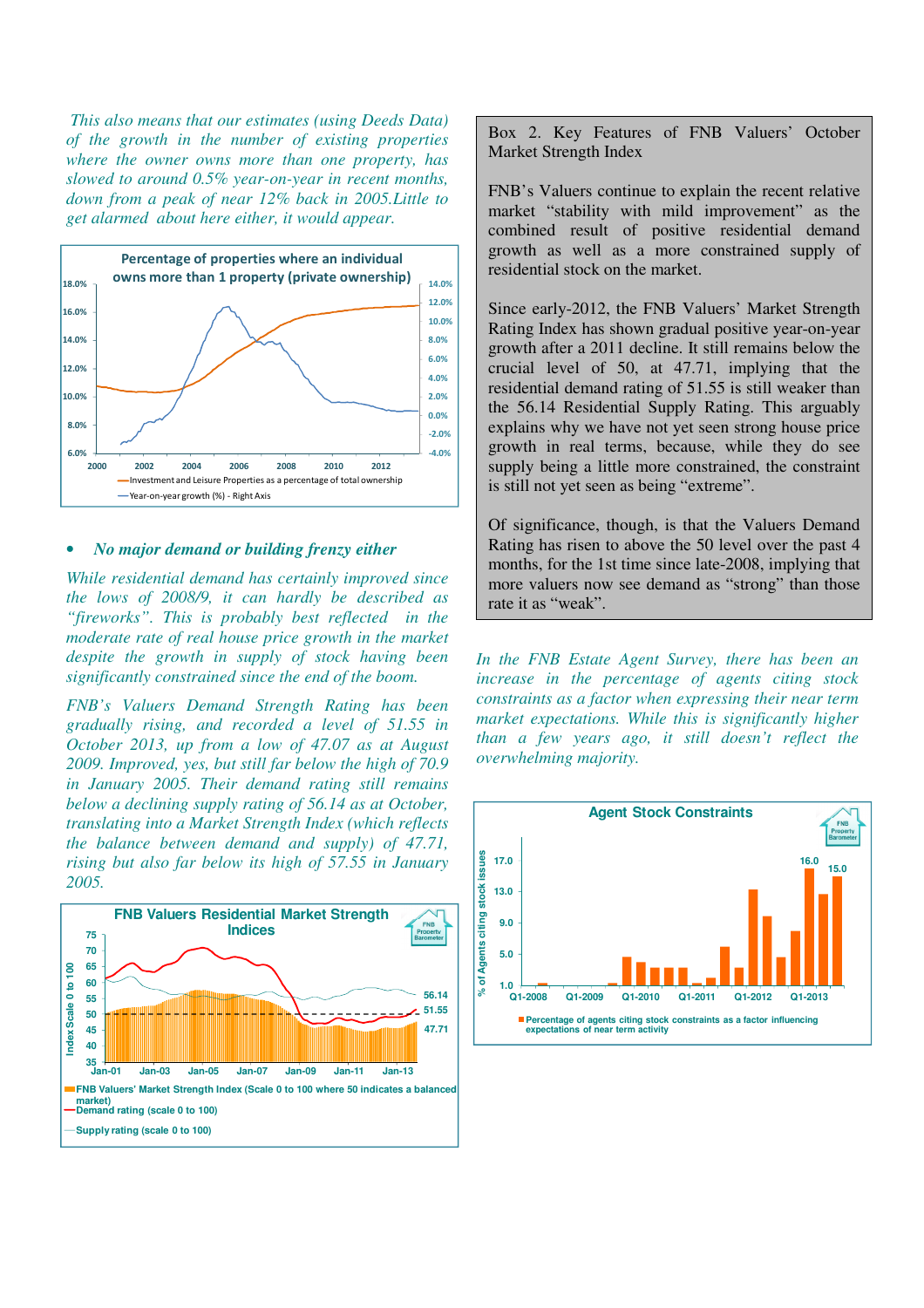*This also means that our estimates (using Deeds Data) of the growth in the number of existing properties where the owner owns more than one property, has slowed to around 0.5% year-on-year in recent months, down from a peak of near 12% back in 2005.Little to get alarmed about here either, it would appear.* 



#### • *No major demand or building frenzy either*

*While residential demand has certainly improved since the lows of 2008/9, it can hardly be described as "fireworks". This is probably best reflected in the moderate rate of real house price growth in the market despite the growth in supply of stock having been significantly constrained since the end of the boom.* 

*FNB's Valuers Demand Strength Rating has been gradually rising, and recorded a level of 51.55 in October 2013, up from a low of 47.07 as at August 2009. Improved, yes, but still far below the high of 70.9 in January 2005. Their demand rating still remains below a declining supply rating of 56.14 as at October, translating into a Market Strength Index (which reflects the balance between demand and supply) of 47.71, rising but also far below its high of 57.55 in January 2005.* 



Box 2. Key Features of FNB Valuers' October Market Strength Index

FNB's Valuers continue to explain the recent relative market "stability with mild improvement" as the combined result of positive residential demand growth as well as a more constrained supply of residential stock on the market.

Since early-2012, the FNB Valuers' Market Strength Rating Index has shown gradual positive year-on-year growth after a 2011 decline. It still remains below the crucial level of 50, at 47.71, implying that the residential demand rating of 51.55 is still weaker than the 56.14 Residential Supply Rating. This arguably explains why we have not yet seen strong house price growth in real terms, because, while they do see supply being a little more constrained, the constraint is still not yet seen as being "extreme".

Of significance, though, is that the Valuers Demand Rating has risen to above the 50 level over the past 4 months, for the 1st time since late-2008, implying that more valuers now see demand as "strong" than those rate it as "weak".

*In the FNB Estate Agent Survey, there has been an increase in the percentage of agents citing stock constraints as a factor when expressing their near term market expectations. While this is significantly higher than a few years ago, it still doesn't reflect the overwhelming majority.* 

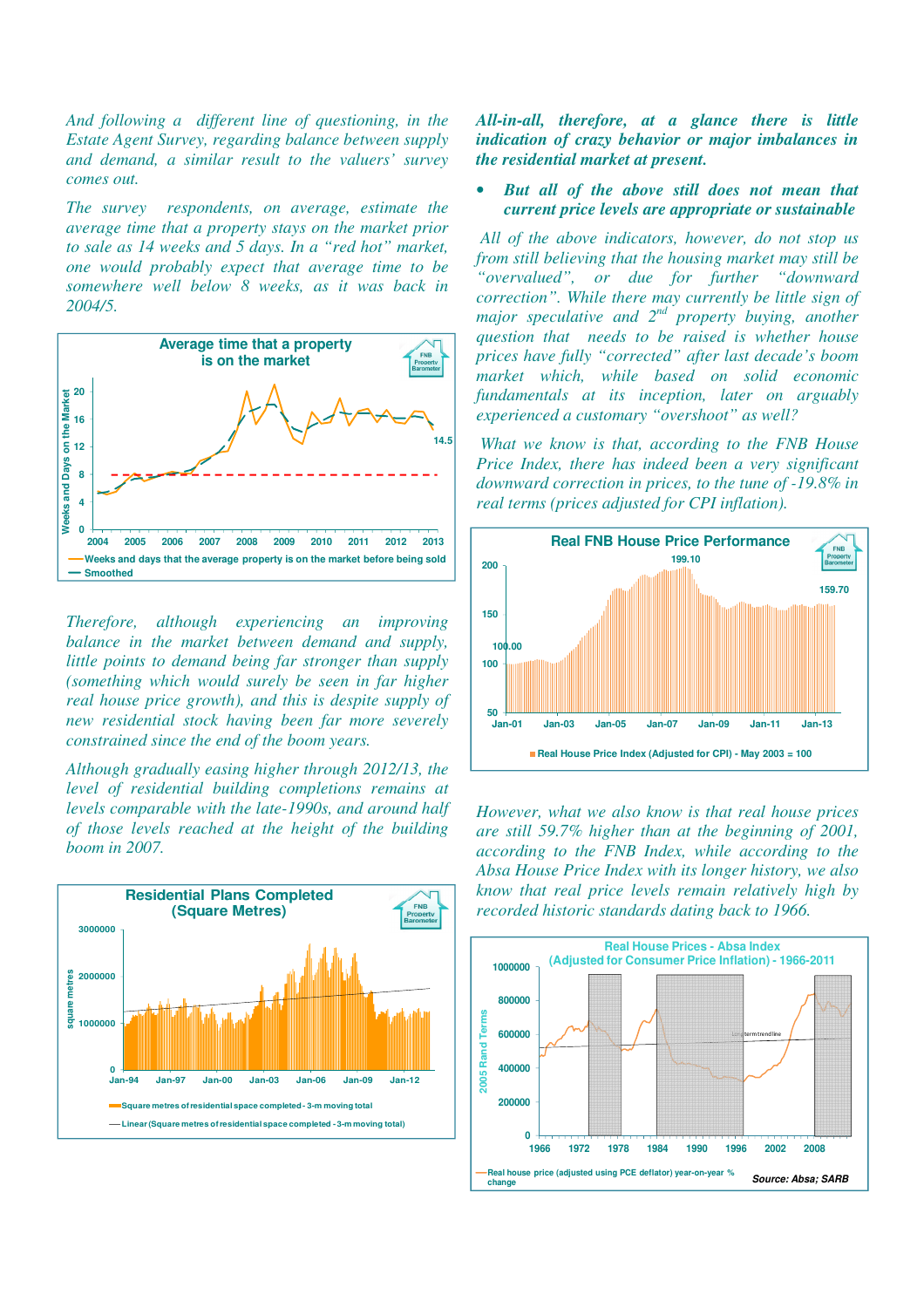*And following a different line of questioning, in the Estate Agent Survey, regarding balance between supply and demand, a similar result to the valuers' survey comes out.* 

*The survey respondents, on average, estimate the average time that a property stays on the market prior to sale as 14 weeks and 5 days. In a "red hot" market, one would probably expect that average time to be somewhere well below 8 weeks, as it was back in 2004/5.* 



*Therefore, although experiencing an improving balance in the market between demand and supply, little points to demand being far stronger than supply (something which would surely be seen in far higher real house price growth), and this is despite supply of new residential stock having been far more severely constrained since the end of the boom years.* 

*Although gradually easing higher through 2012/13, the level of residential building completions remains at levels comparable with the late-1990s, and around half of those levels reached at the height of the building boom in 2007.* 



*All-in-all, therefore, at a glance there is little indication of crazy behavior or major imbalances in the residential market at present.* 

• *But all of the above still does not mean that current price levels are appropriate or sustainable*

 *All of the above indicators, however, do not stop us from still believing that the housing market may still be "overvalued", or due for further "downward correction". While there may currently be little sign of major speculative and 2nd property buying, another question that needs to be raised is whether house prices have fully "corrected" after last decade's boom market which, while based on solid economic fundamentals at its inception, later on arguably experienced a customary "overshoot" as well?* 

*What we know is that, according to the FNB House Price Index, there has indeed been a very significant downward correction in prices, to the tune of -19.8% in real terms (prices adjusted for CPI inflation).* 



*However, what we also know is that real house prices are still 59.7% higher than at the beginning of 2001, according to the FNB Index, while according to the Absa House Price Index with its longer history, we also know that real price levels remain relatively high by recorded historic standards dating back to 1966.*

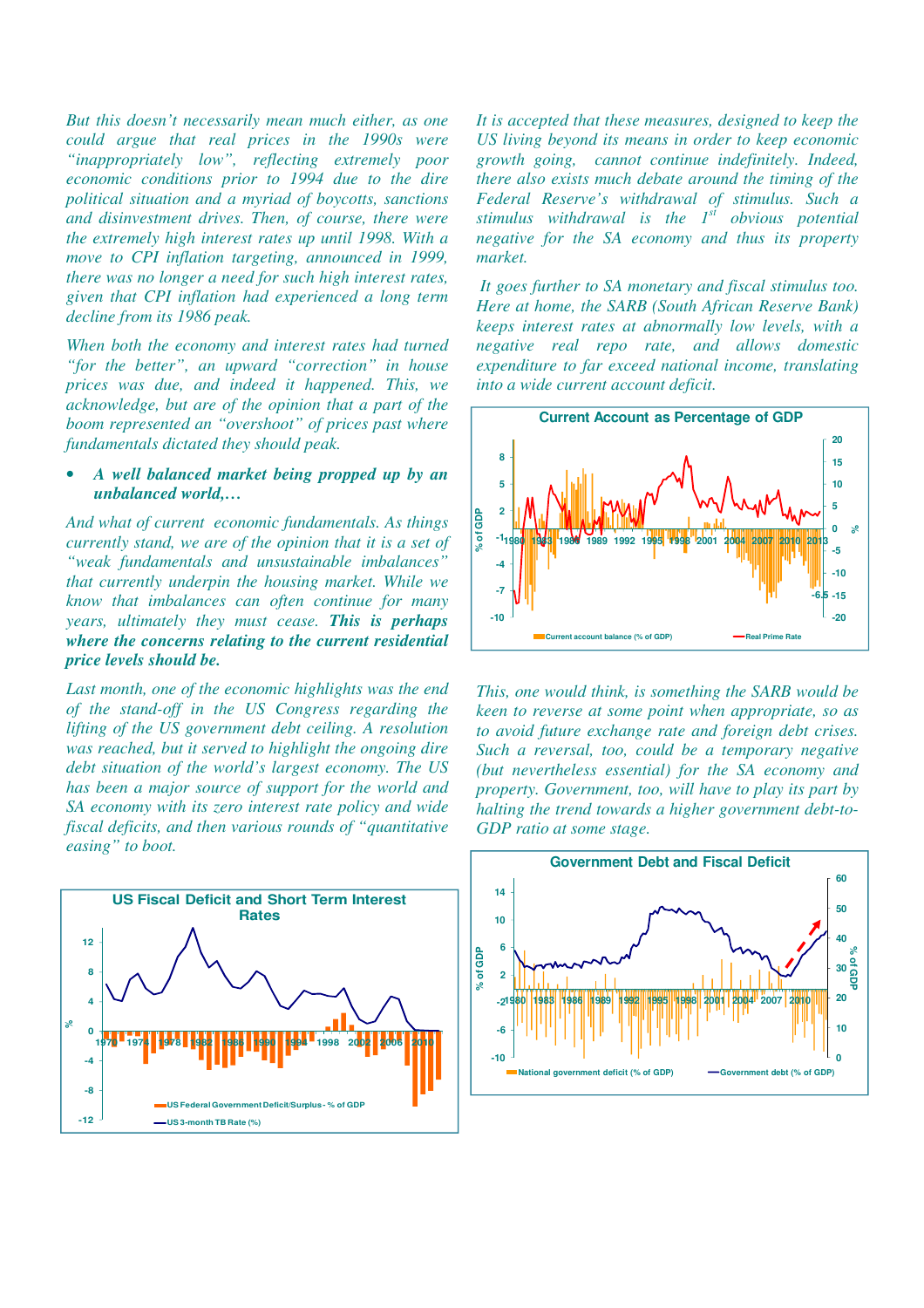*But this doesn't necessarily mean much either, as one could argue that real prices in the 1990s were "inappropriately low", reflecting extremely poor economic conditions prior to 1994 due to the dire political situation and a myriad of boycotts, sanctions and disinvestment drives. Then, of course, there were the extremely high interest rates up until 1998. With a move to CPI inflation targeting, announced in 1999, there was no longer a need for such high interest rates, given that CPI inflation had experienced a long term decline from its 1986 peak.* 

*When both the economy and interest rates had turned "for the better", an upward "correction" in house prices was due, and indeed it happened. This, we acknowledge, but are of the opinion that a part of the boom represented an "overshoot" of prices past where fundamentals dictated they should peak.* 

## • *A well balanced market being propped up by an unbalanced world,…*

*And what of current economic fundamentals. As things currently stand, we are of the opinion that it is a set of "weak fundamentals and unsustainable imbalances" that currently underpin the housing market. While we know that imbalances can often continue for many years, ultimately they must cease. This is perhaps where the concerns relating to the current residential price levels should be.* 

*Last month, one of the economic highlights was the end of the stand-off in the US Congress regarding the lifting of the US government debt ceiling. A resolution was reached, but it served to highlight the ongoing dire debt situation of the world's largest economy. The US has been a major source of support for the world and SA economy with its zero interest rate policy and wide fiscal deficits, and then various rounds of "quantitative easing" to boot.* 



*It is accepted that these measures, designed to keep the US living beyond its means in order to keep economic growth going, cannot continue indefinitely. Indeed, there also exists much debate around the timing of the Federal Reserve's withdrawal of stimulus. Such a stimulus withdrawal is the 1st obvious potential negative for the SA economy and thus its property market.* 

*It goes further to SA monetary and fiscal stimulus too. Here at home, the SARB (South African Reserve Bank) keeps interest rates at abnormally low levels, with a negative real repo rate, and allows domestic expenditure to far exceed national income, translating into a wide current account deficit.* 



*This, one would think, is something the SARB would be keen to reverse at some point when appropriate, so as to avoid future exchange rate and foreign debt crises. Such a reversal, too, could be a temporary negative (but nevertheless essential) for the SA economy and property. Government, too, will have to play its part by halting the trend towards a higher government debt-to-GDP ratio at some stage.* 

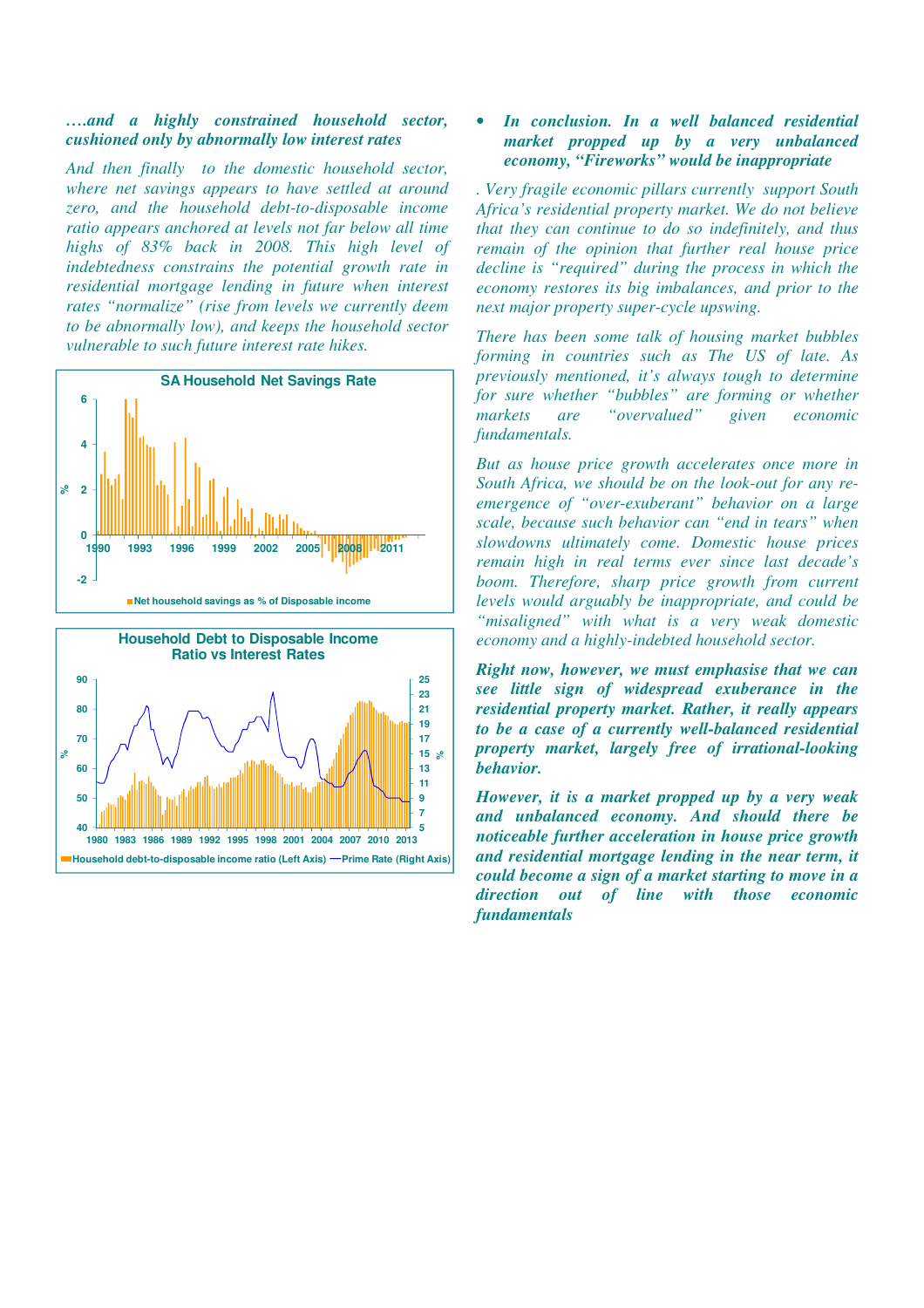## *….and a highly constrained household sector, cushioned only by abnormally low interest rates*

*And then finally to the domestic household sector, where net savings appears to have settled at around zero, and the household debt-to-disposable income ratio appears anchored at levels not far below all time highs of 83% back in 2008. This high level of indebtedness constrains the potential growth rate in residential mortgage lending in future when interest rates "normalize" (rise from levels we currently deem to be abnormally low), and keeps the household sector vulnerable to such future interest rate hikes.* 





## • *In conclusion. In a well balanced residential market propped up by a very unbalanced economy, "Fireworks" would be inappropriate*

*. Very fragile economic pillars currently support South Africa's residential property market. We do not believe that they can continue to do so indefinitely, and thus remain of the opinion that further real house price decline is "required" during the process in which the economy restores its big imbalances, and prior to the next major property super-cycle upswing.* 

*There has been some talk of housing market bubbles forming in countries such as The US of late. As previously mentioned, it's always tough to determine for sure whether "bubbles" are forming or whether markets are "overvalued" given economic fundamentals.* 

*But as house price growth accelerates once more in South Africa, we should be on the look-out for any reemergence of "over-exuberant" behavior on a large scale, because such behavior can "end in tears" when slowdowns ultimately come. Domestic house prices remain high in real terms ever since last decade's boom. Therefore, sharp price growth from current levels would arguably be inappropriate, and could be "misaligned" with what is a very weak domestic economy and a highly-indebted household sector.* 

*Right now, however, we must emphasise that we can see little sign of widespread exuberance in the residential property market. Rather, it really appears to be a case of a currently well-balanced residential property market, largely free of irrational-looking behavior.* 

*However, it is a market propped up by a very weak and unbalanced economy. And should there be noticeable further acceleration in house price growth and residential mortgage lending in the near term, it could become a sign of a market starting to move in a direction out of line with those economic fundamentals*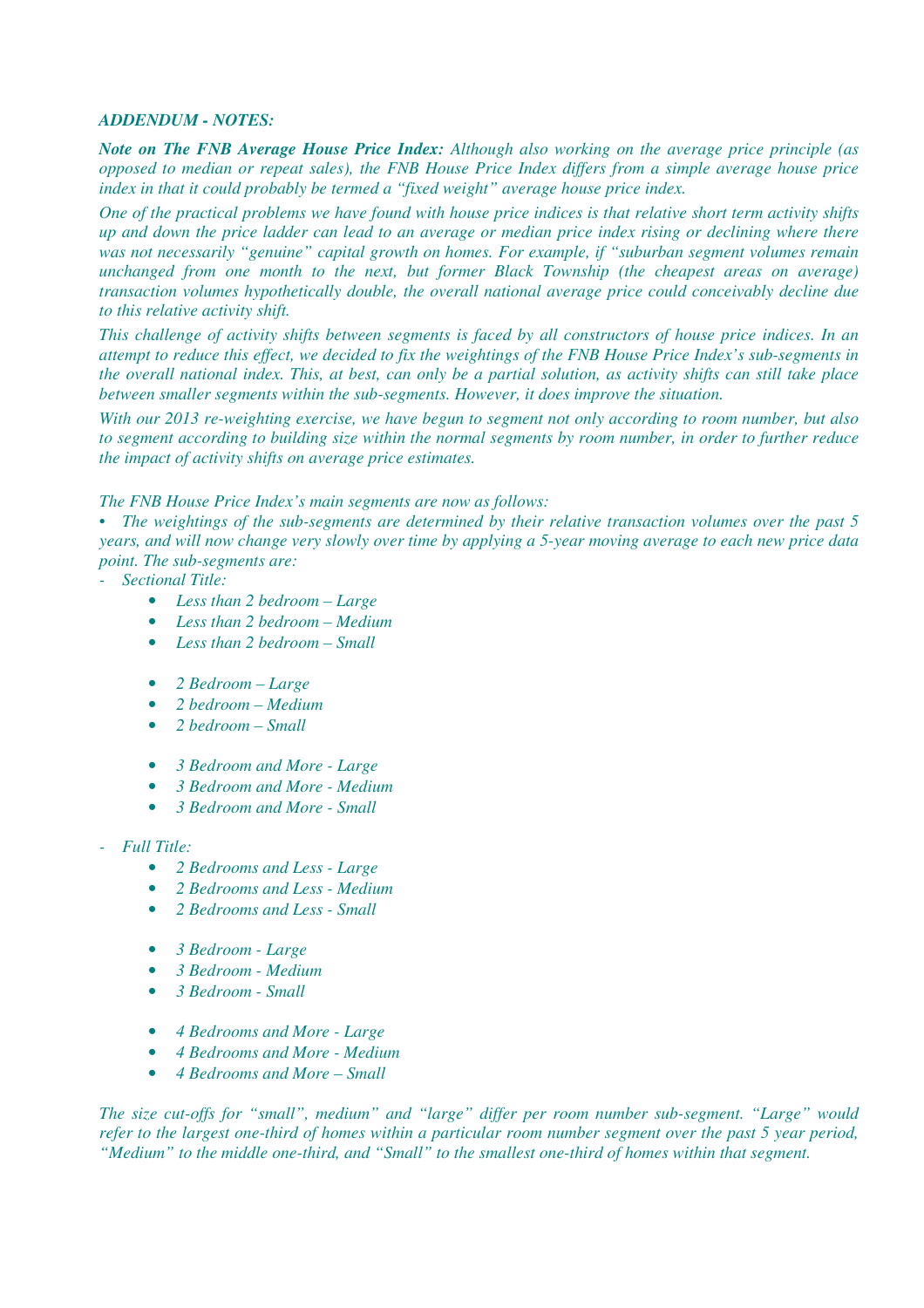## *ADDENDUM - NOTES:*

*Note on The FNB Average House Price Index: Although also working on the average price principle (as opposed to median or repeat sales), the FNB House Price Index differs from a simple average house price index in that it could probably be termed a "fixed weight" average house price index.* 

*One of the practical problems we have found with house price indices is that relative short term activity shifts up and down the price ladder can lead to an average or median price index rising or declining where there was not necessarily "genuine" capital growth on homes. For example, if "suburban segment volumes remain unchanged from one month to the next, but former Black Township (the cheapest areas on average) transaction volumes hypothetically double, the overall national average price could conceivably decline due to this relative activity shift.* 

*This challenge of activity shifts between segments is faced by all constructors of house price indices. In an attempt to reduce this effect, we decided to fix the weightings of the FNB House Price Index's sub-segments in the overall national index. This, at best, can only be a partial solution, as activity shifts can still take place between smaller segments within the sub-segments. However, it does improve the situation.* 

*With our 2013 re-weighting exercise, we have begun to segment not only according to room number, but also to segment according to building size within the normal segments by room number, in order to further reduce the impact of activity shifts on average price estimates.* 

## *The FNB House Price Index's main segments are now as follows:*

*• The weightings of the sub-segments are determined by their relative transaction volumes over the past 5 years, and will now change very slowly over time by applying a 5-year moving average to each new price data point. The sub-segments are:* 

- *Sectional Title:* 
	- *Less than 2 bedroom Large*
	- *Less than 2 bedroom Medium*
	- *Less than 2 bedroom Small*
	- *2 Bedroom Large*
	- *2 bedroom Medium*
	- *2 bedroom Small*
	- *3 Bedroom and More Large*
	- *3 Bedroom and More Medium*
	- *3 Bedroom and More Small*
- *Full Title:* 
	- *2 Bedrooms and Less Large*
	- *2 Bedrooms and Less Medium*
	- *2 Bedrooms and Less Small*
	- *3 Bedroom Large*
	- *3 Bedroom Medium*
	- *3 Bedroom Small*
	- *4 Bedrooms and More Large*
	- *4 Bedrooms and More Medium*
	- *4 Bedrooms and More Small*

*The size cut-offs for "small", medium" and "large" differ per room number sub-segment. "Large" would refer to the largest one-third of homes within a particular room number segment over the past 5 year period, "Medium" to the middle one-third, and "Small" to the smallest one-third of homes within that segment.*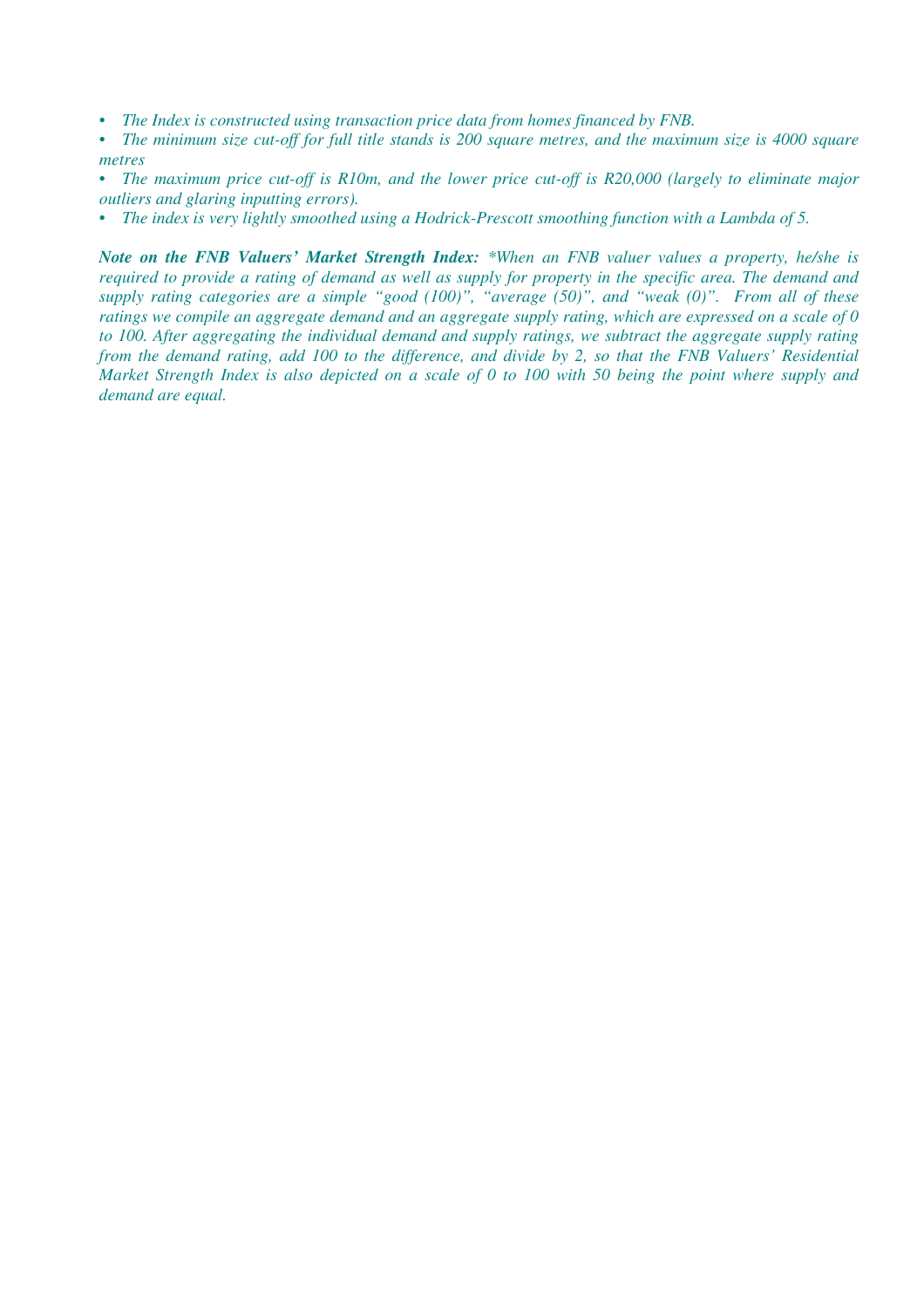- *The Index is constructed using transaction price data from homes financed by FNB.*
- *The minimum size cut-off for full title stands is 200 square metres, and the maximum size is 4000 square metres*
- *The maximum price cut-off is R10m, and the lower price cut-off is R20,000 (largely to eliminate major outliers and glaring inputting errors).*
- *The index is very lightly smoothed using a Hodrick-Prescott smoothing function with a Lambda of 5.*

*Note on the FNB Valuers' Market Strength Index: \*When an FNB valuer values a property, he/she is required to provide a rating of demand as well as supply for property in the specific area. The demand and supply rating categories are a simple "good (100)", "average (50)", and "weak (0)". From all of these ratings we compile an aggregate demand and an aggregate supply rating, which are expressed on a scale of 0 to 100. After aggregating the individual demand and supply ratings, we subtract the aggregate supply rating from the demand rating, add 100 to the difference, and divide by 2, so that the FNB Valuers' Residential Market Strength Index is also depicted on a scale of 0 to 100 with 50 being the point where supply and demand are equal.*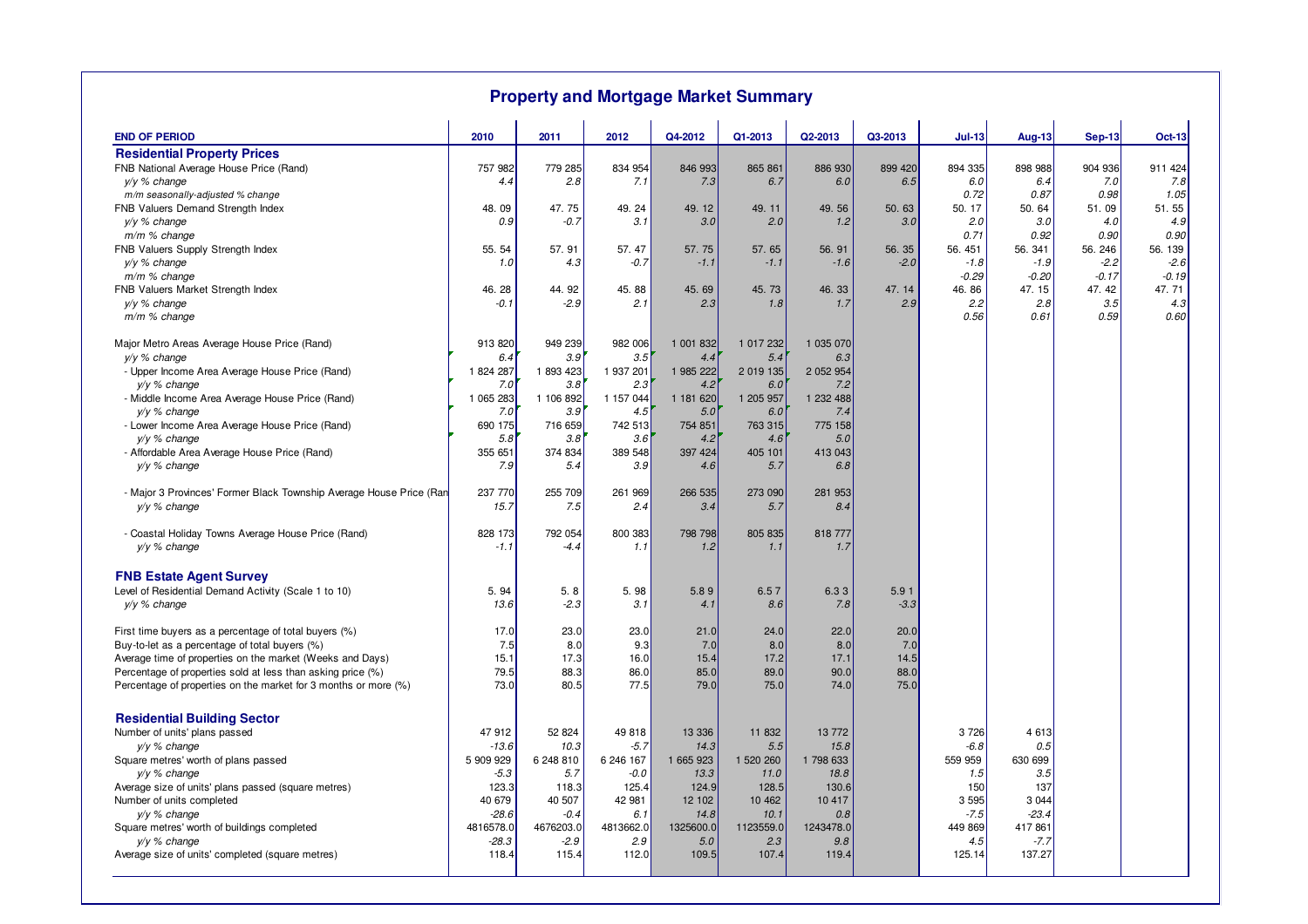| <b>Property and Mortgage Market Summary</b>                                            |                      |                     |                  |                  |                  |                  |                |                  |                   |                  |                  |
|----------------------------------------------------------------------------------------|----------------------|---------------------|------------------|------------------|------------------|------------------|----------------|------------------|-------------------|------------------|------------------|
| <b>END OF PERIOD</b>                                                                   | 2010                 | 2011                | 2012             | Q4-2012          | Q1-2013          | Q2-2013          | Q3-2013        | <b>Jul-13</b>    | <b>Aug-13</b>     | <b>Sep-13</b>    | <b>Oct-13</b>    |
| <b>Residential Property Prices</b>                                                     |                      |                     |                  |                  |                  |                  |                |                  |                   |                  |                  |
| FNB National Average House Price (Rand)                                                | 757 982              | 779 285             | 834 954          | 846 993          | 865 861          | 886 930          | 899 420        | 894 335          | 898 988           | 904 936          | 911 424          |
| y/y % change                                                                           | 4.4                  | 2.8                 | 7.1              | 7.3              | 6.7              | 6.0              | 6.5            | 6.0              | 6.4               | 7.0              | 7.8              |
| m/m seasonally-adjusted % change                                                       |                      |                     |                  |                  |                  |                  |                | 0.72             | 0.87              | 0.98             | 1.05             |
| FNB Valuers Demand Strength Index                                                      | 48.09                | 47.75               | 49.24            | 49.12            | 49.11            | 49.56            | 50.63          | 50.17            | 50.64             | 51.09            | 51.55            |
| $y/y \%$ change                                                                        | 0.9                  | $-0.7$              | 3.1              | 3.0              | 2.0              | 1.2              | 3.0            | 2.0              | 3.0               | 4.0              | 4.9              |
| $m/m$ % change                                                                         |                      |                     |                  |                  |                  |                  |                | 0.71             | 0.92              | 0.90             | 0.90             |
| FNB Valuers Supply Strength Index                                                      | 55.54                | 57.91               | 57.47            | 57.75            | 57.65            | 56.91            | 56.35          | 56.451           | 56.341            | 56.246           | 56.139           |
| y/y % change                                                                           | 1.0                  | 4.3                 | $-0.7$           | $-1.1$           | $-1.1$           | $-1.6$           | $-2.0$         | $-1.8$           | $-1.9$            | $-2.2$           | $-2.6$           |
| m/m % change<br>FNB Valuers Market Strength Index                                      | 46.28                | 44.92               | 45.88            | 45.69            | 45.73            | 46.33            | 47.14          | $-0.29$<br>46.86 | $-0.20$<br>47.15  | $-0.17$<br>47.42 | $-0.19$<br>47.71 |
| y/y % change                                                                           | -0.1                 | $-2.9$              | 2.1              | 2.3              | 1.8              | 1.7              | 2.9            | 2.2              | 2.8               | 3.5              | 4.3              |
| $m/m$ % change                                                                         |                      |                     |                  |                  |                  |                  |                | 0.56             | 0.61              | 0.59             | 0.60             |
| Major Metro Areas Average House Price (Rand)                                           | 913 820              | 949 239             | 982 006          | 1 001 832        | 1 017 232        | 1 035 070        |                |                  |                   |                  |                  |
| y/y % change                                                                           | 6.4                  | 3.9                 | 3.5              | 4.4              | 5.4              | 6.3              |                |                  |                   |                  |                  |
| - Upper Income Area Average House Price (Rand)                                         | 1 824 287            | 1893423             | 1 937 201        | 1 985 222        | 2 019 135        | 2 052 954        |                |                  |                   |                  |                  |
| $y/y \%$ change                                                                        | 7.0                  | 3.8                 | 2.3              | 4.2              | 6.0              | 7.2              |                |                  |                   |                  |                  |
| - Middle Income Area Average House Price (Rand)                                        | 1 065 283            | 1 106 892           | 1 157 044        | 1 181 620        | 1 205 957        | 1 232 488        |                |                  |                   |                  |                  |
| y/y % change                                                                           | 7.0                  | 3.9                 | 4.5              | 5.0              | 6.0              | 7.4              |                |                  |                   |                  |                  |
| - Lower Income Area Average House Price (Rand)                                         | 690 175              | 716 659             | 742 513          | 754 851          | 763 315          | 775 158          |                |                  |                   |                  |                  |
| $v/v$ % change<br>- Affordable Area Average House Price (Rand)                         | 5.8<br>355 651       | 3.8<br>374 834      | 3.6<br>389 548   | 4.2<br>397 424   | 4.6<br>405 101   | 5.0<br>413 043   |                |                  |                   |                  |                  |
| $y/y \%$ change                                                                        | 7.9                  | 5.4                 | 3.9              | 4.6              | 5.7              | 6.8              |                |                  |                   |                  |                  |
| - Major 3 Provinces' Former Black Township Average House Price (Ran<br>$y/y \%$ change | 237 770<br>15.7      | 255 709<br>7.5      | 261 969<br>2.4   | 266 535<br>3.4   | 273 090<br>5.7   | 281 953<br>8.4   |                |                  |                   |                  |                  |
| - Coastal Holiday Towns Average House Price (Rand)<br>y/y % change                     | 828 173<br>$-1.1$    | 792 054<br>-4.4     | 800 383<br>1.1   | 798 798<br>1.2   | 805 835<br>1.1   | 818 777<br>1.7   |                |                  |                   |                  |                  |
|                                                                                        |                      |                     |                  |                  |                  |                  |                |                  |                   |                  |                  |
| <b>FNB Estate Agent Survey</b>                                                         |                      |                     |                  |                  |                  |                  |                |                  |                   |                  |                  |
| Level of Residential Demand Activity (Scale 1 to 10)<br>y/y % change                   | 5.94<br>13.6         | 5.8<br>$-2.3$       | 5.98<br>3.1      | 5.89<br>4.1      | 6.57<br>8.6      | 6.33<br>7.8      | 5.91<br>$-3.3$ |                  |                   |                  |                  |
|                                                                                        |                      |                     |                  |                  |                  |                  |                |                  |                   |                  |                  |
| First time buyers as a percentage of total buyers (%)                                  | 17.0                 | 23.0                | 23.0             | 21.0             | 24.0             | 22.0             | 20.0           |                  |                   |                  |                  |
| Buy-to-let as a percentage of total buyers (%)                                         | 7.5                  | 8.0                 | 9.3              | 7.0              | 8.0              | 8.0              | 7.0            |                  |                   |                  |                  |
| Average time of properties on the market (Weeks and Days)                              | 15.1                 | 17.3                | 16.0             | 15.4             | 17.2             | 17.1             | 14.5           |                  |                   |                  |                  |
| Percentage of properties sold at less than asking price (%)                            | 79.5                 | 88.3                | 86.0             | 85.0             | 89.0             | 90.0             | 88.0           |                  |                   |                  |                  |
| Percentage of properties on the market for 3 months or more (%)                        | 73.0                 | 80.5                | 77.5             | 79.0             | 75.0             | 74.0             | 75.0           |                  |                   |                  |                  |
| <b>Residential Building Sector</b>                                                     |                      |                     |                  |                  |                  |                  |                |                  |                   |                  |                  |
| Number of units' plans passed                                                          | 47 912               | 52 824              | 49 818           | 13 3 36          | 11 832           | 13772            |                | 3726             | 4 6 1 3           |                  |                  |
| y/y % change                                                                           | $-13.6$              | 10.3                | $-5.7$           | 14.3             | 5.5              | 15.8             |                | $-6.8$           | 0.5               |                  |                  |
| Square metres' worth of plans passed                                                   | 5 909 929            | 6 248 810           | 6 246 167        | 1 665 923        | 1 520 260        | 1 798 633        |                | 559 959          | 630 699           |                  |                  |
| $y/y \%$ change                                                                        | $-5.3$               | 5.7                 | $-0.0$           | 13.3             | 11.0             | 18.8             |                | 1.5              | 3.5               |                  |                  |
| Average size of units' plans passed (square metres)                                    | 123.3                | 118.3               | 125.4            | 124.9            | 128.5            | 130.6            |                | 150              | 137               |                  |                  |
| Number of units completed                                                              | 40 679               | 40 507              | 42 981           | 12 102           | 10 462           | 10 417           |                | 3 5 9 5          | 3 0 4 4           |                  |                  |
| $y/y$ % change                                                                         | $-28.6$              | $-0.4$              | 6.1              | 14.8             | 10.1             | 0.8              |                | $-7.5$           | $-23.4$           |                  |                  |
| Square metres' worth of buildings completed<br>$y/y \%$ change                         | 4816578.0<br>$-28.3$ | 4676203.0<br>$-2.9$ | 4813662.0<br>2.9 | 1325600.0<br>5.0 | 1123559.0<br>2.3 | 1243478.0<br>9.8 |                | 449 869<br>4.5   | 417 861<br>$-7.7$ |                  |                  |
| Average size of units' completed (square metres)                                       | 118.4                | 115.4               | 112.0            | 109.5            | 107.4            | 119.4            |                | 125.14           | 137.27            |                  |                  |
|                                                                                        |                      |                     |                  |                  |                  |                  |                |                  |                   |                  |                  |